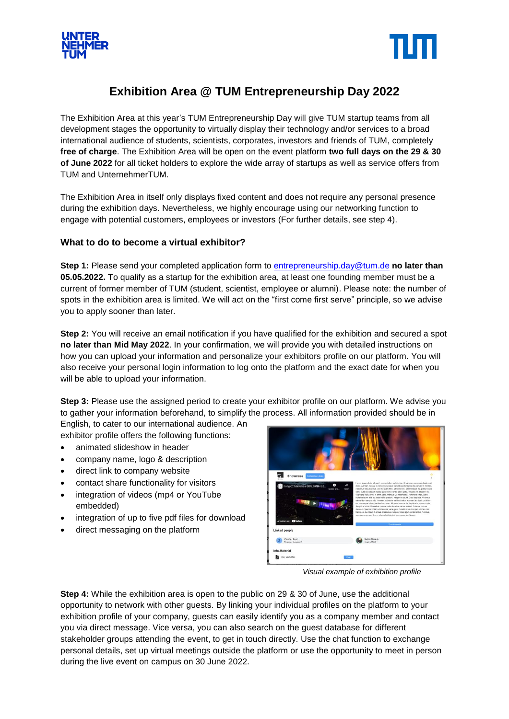



## **Exhibition Area @ TUM Entrepreneurship Day 2022**

The Exhibition Area at this year's TUM Entrepreneurship Day will give TUM startup teams from all development stages the opportunity to virtually display their technology and/or services to a broad international audience of students, scientists, corporates, investors and friends of TUM, completely **free of charge**. The Exhibition Area will be open on the event platform **two full days on the 29 & 30 of June 2022** for all ticket holders to explore the wide array of startups as well as service offers from TUM and UnternehmerTUM.

The Exhibition Area in itself only displays fixed content and does not require any personal presence during the exhibition days. Nevertheless, we highly encourage using our networking function to engage with potential customers, employees or investors (For further details, see step 4).

## **What to do to become a virtual exhibitor?**

**Step 1:** Please send your completed application form to [entrepreneurship.day@tum.de](mailto:entrepreneurship.day@tum.de) **no later than 05.05.2022.** To qualify as a startup for the exhibition area, at least one founding member must be a current of former member of TUM (student, scientist, employee or alumni). Please note: the number of spots in the exhibition area is limited. We will act on the "first come first serve" principle, so we advise you to apply sooner than later.

**Step 2:** You will receive an email notification if you have qualified for the exhibition and secured a spot **no later than Mid May 2022**. In your confirmation, we will provide you with detailed instructions on how you can upload your information and personalize your exhibitors profile on our platform. You will also receive your personal login information to log onto the platform and the exact date for when you will be able to upload your information.

**Step 3:** Please use the assigned period to create your exhibitor profile on our platform. We advise you to gather your information beforehand, to simplify the process. All information provided should be in

English, to cater to our international audience. An exhibitor profile offers the following functions:

- animated slideshow in header
- company name, logo & description
- direct link to company website
- contact share functionality for visitors
- integration of videos (mp4 or YouTube embedded)
- integration of up to five pdf files for download
- direct messaging on the platform



*Visual example of exhibition profile* 

**Step 4:** While the exhibition area is open to the public on 29 & 30 of June, use the additional opportunity to network with other guests. By linking your individual profiles on the platform to your exhibition profile of your company, guests can easily identify you as a company member and contact you via direct message. Vice versa, you can also search on the guest database for different stakeholder groups attending the event, to get in touch directly. Use the chat function to exchange personal details, set up virtual meetings outside the platform or use the opportunity to meet in person during the live event on campus on 30 June 2022.